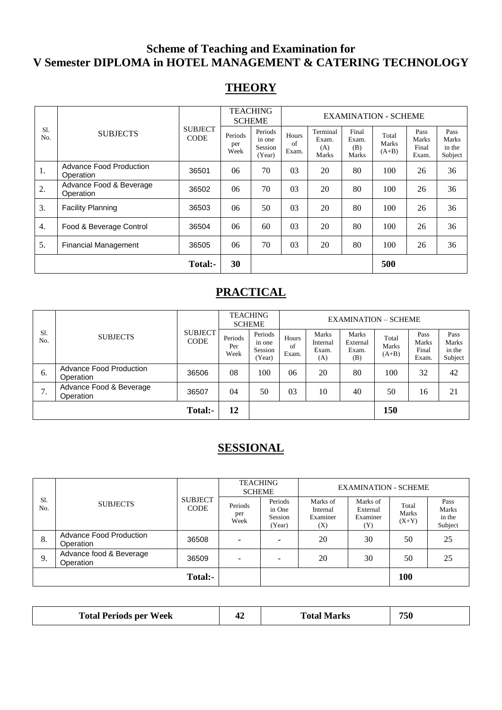# **Scheme of Teaching and Examination for V Semester DIPLOMA in HOTEL MANAGEMENT & CATERING TECHNOLOGY**

# **THEORY**

|            |                                             |                               | <b>TEACHING</b><br><b>SCHEME</b> |                                        | <b>EXAMINATION - SCHEME</b> |                                   |                                |                           |                                 |                                    |
|------------|---------------------------------------------|-------------------------------|----------------------------------|----------------------------------------|-----------------------------|-----------------------------------|--------------------------------|---------------------------|---------------------------------|------------------------------------|
| S1.<br>No. | <b>SUBJECTS</b>                             | <b>SUBJECT</b><br><b>CODE</b> | Periods<br>per<br>Week           | Periods<br>in one<br>Session<br>(Year) | Hours<br>of<br>Exam.        | Terminal<br>Exam.<br>(A)<br>Marks | Final<br>Exam.<br>(B)<br>Marks | Total<br>Marks<br>$(A+B)$ | Pass<br>Marks<br>Final<br>Exam. | Pass<br>Marks<br>in the<br>Subject |
| 1.         | <b>Advance Food Production</b><br>Operation | 36501                         | 06                               | 70                                     | 03                          | 20                                | 80                             | 100                       | 26                              | 36                                 |
| 2.         | Advance Food & Beverage<br>Operation        | 36502                         | 06                               | 70                                     | 03                          | 20                                | 80                             | 100                       | 26                              | 36                                 |
| 3.         | <b>Facility Planning</b>                    | 36503                         | 06                               | 50                                     | 03                          | 20                                | 80                             | 100                       | 26                              | 36                                 |
| 4.         | Food & Beverage Control                     | 36504                         | 06                               | 60                                     | 03                          | 20                                | 80                             | 100                       | 26                              | 36                                 |
| 5.         | <b>Financial Management</b>                 | 36505                         | 06                               | 70                                     | 03                          | 20                                | 80                             | 100                       | 26                              | 36                                 |
|            |                                             | Total:-                       | 30                               |                                        |                             |                                   |                                | 500                       |                                 |                                    |

# **PRACTICAL**

|                 |                                      |                               | <b>TEACHING</b><br><b>SCHEME</b> |                                        | <b>EXAMINATION – SCHEME</b> |                                          |                                          |                           |                                        |                                    |
|-----------------|--------------------------------------|-------------------------------|----------------------------------|----------------------------------------|-----------------------------|------------------------------------------|------------------------------------------|---------------------------|----------------------------------------|------------------------------------|
| Sl.<br>No.      | <b>SUBJECTS</b>                      | <b>SUBJECT</b><br><b>CODE</b> | Periods<br>Per<br>Week           | Periods<br>in one<br>Session<br>(Year) | Hours<br>of<br>Exam.        | <b>Marks</b><br>Internal<br>Exam.<br>(A) | <b>Marks</b><br>External<br>Exam.<br>(B) | Total<br>Marks<br>$(A+B)$ | Pass<br><b>Marks</b><br>Final<br>Exam. | Pass<br>Marks<br>in the<br>Subject |
| 6.              | Advance Food Production<br>Operation | 36506                         | 08                               | 100                                    | 06                          | 20                                       | 80                                       | 100                       | 32                                     | 42                                 |
| ⇁<br>$\prime$ . | Advance Food & Beverage<br>Operation | 36507                         | 04                               | 50                                     | 03                          | 10                                       | 40                                       | 50                        | 16                                     | 21                                 |
|                 |                                      | Total:-                       | 12                               |                                        |                             |                                          |                                          | 150                       |                                        |                                    |

# **SESSIONAL**

|            |                                      |                               | <b>TEACHING</b><br><b>SCHEME</b> |                                        |                                         | <b>EXAMINATION - SCHEME</b>             |                           |                                    |
|------------|--------------------------------------|-------------------------------|----------------------------------|----------------------------------------|-----------------------------------------|-----------------------------------------|---------------------------|------------------------------------|
| S1.<br>No. | <b>SUBJECTS</b>                      | <b>SUBJECT</b><br><b>CODE</b> | Periods<br>per<br>Week           | Periods<br>in One<br>Session<br>(Year) | Marks of<br>Internal<br>Examiner<br>(X) | Marks of<br>External<br>Examiner<br>(Y) | Total<br>Marks<br>$(X+Y)$ | Pass<br>Marks<br>in the<br>Subject |
| 8.         | Advance Food Production<br>Operation | 36508                         | -                                |                                        | 20                                      | 30                                      | 50                        | 25                                 |
| 9.         | Advance food & Beverage<br>Operation | 36509                         | -                                |                                        | 20                                      | 30                                      | 50                        | 25                                 |
|            |                                      | Total:-                       |                                  |                                        |                                         |                                         | 100                       |                                    |

| <b>Total Periods per Week</b> | 17 | <b>Total Marks</b> | 750 |
|-------------------------------|----|--------------------|-----|
|-------------------------------|----|--------------------|-----|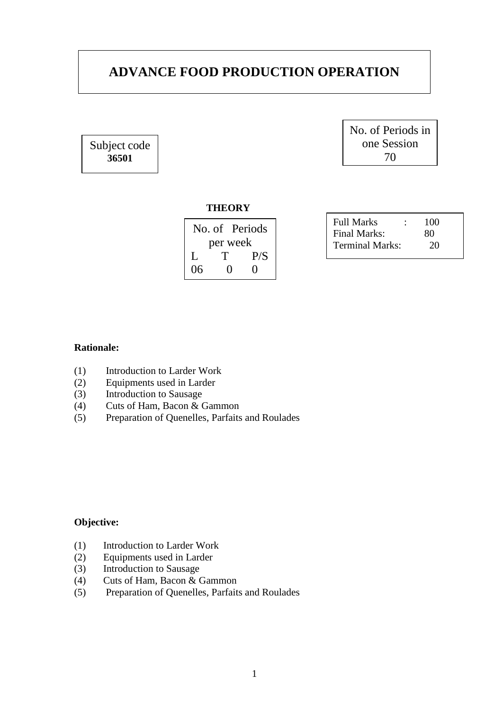# **ADVANCE FOOD PRODUCTION OPERATION**

Subject code **36501**

No. of Periods in one Session 70

#### **THEORY**

| No. of Periods |                   |     |  |  |
|----------------|-------------------|-----|--|--|
| per week       |                   |     |  |  |
| $\mathbf{L}$   | T                 | P/S |  |  |
| 06             | $\mathbf{\Omega}$ | 0   |  |  |

| <b>Full Marks</b>      | 100 |
|------------------------|-----|
| Final Marks:           | 80  |
| <b>Terminal Marks:</b> | 20  |

## **Rationale:**

- (1) Introduction to Larder Work
- (2) Equipments used in Larder
- (3) Introduction to Sausage
- (4) Cuts of Ham, Bacon & Gammon
- (5) Preparation of Quenelles, Parfaits and Roulades

## **Objective:**

- (1) Introduction to Larder Work
- (2) Equipments used in Larder
- (3) Introduction to Sausage
- (4) Cuts of Ham, Bacon & Gammon
- (5) Preparation of Quenelles, Parfaits and Roulades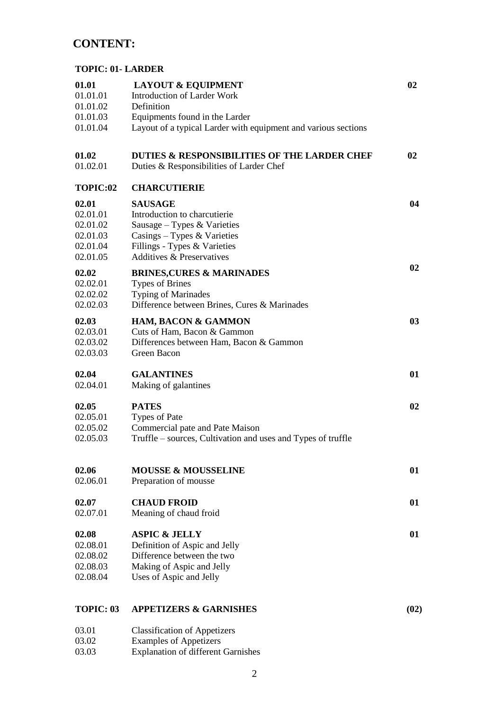# **CONTENT:**

## **TOPIC: 01- LARDER**

| 01.01<br>01.01.01<br>01.01.02 | <b>LAYOUT &amp; EQUIPMENT</b><br><b>Introduction of Larder Work</b><br>Definition        | 02   |
|-------------------------------|------------------------------------------------------------------------------------------|------|
| 01.01.03                      | Equipments found in the Larder                                                           |      |
| 01.01.04                      | Layout of a typical Larder with equipment and various sections                           |      |
| 01.02<br>01.02.01             | DUTIES & RESPONSIBILITIES OF THE LARDER CHEF<br>Duties & Responsibilities of Larder Chef | 02   |
| TOPIC:02                      | <b>CHARCUTIERIE</b>                                                                      |      |
| 02.01                         | <b>SAUSAGE</b>                                                                           | 04   |
| 02.01.01                      | Introduction to charcutierie                                                             |      |
| 02.01.02                      | Sausage – Types & Varieties                                                              |      |
| 02.01.03                      | Casings $-$ Types & Varieties                                                            |      |
| 02.01.04                      | Fillings - Types & Varieties                                                             |      |
| 02.01.05                      | <b>Additives &amp; Preservatives</b>                                                     |      |
|                               |                                                                                          | 02   |
| 02.02                         | <b>BRINES, CURES &amp; MARINADES</b>                                                     |      |
| 02.02.01<br>02.02.02          | <b>Types of Brines</b><br><b>Typing of Marinades</b>                                     |      |
| 02.02.03                      | Difference between Brines, Cures & Marinades                                             |      |
|                               |                                                                                          |      |
| 02.03                         | <b>HAM, BACON &amp; GAMMON</b>                                                           | 03   |
| 02.03.01                      | Cuts of Ham, Bacon & Gammon                                                              |      |
| 02.03.02                      | Differences between Ham, Bacon & Gammon                                                  |      |
| 02.03.03                      | Green Bacon                                                                              |      |
| 02.04                         | <b>GALANTINES</b>                                                                        | 01   |
| 02.04.01                      | Making of galantines                                                                     |      |
|                               |                                                                                          |      |
| 02.05                         | <b>PATES</b>                                                                             | 02   |
| 02.05.01                      | <b>Types of Pate</b>                                                                     |      |
| 02.05.02                      | Commercial pate and Pate Maison                                                          |      |
| 02.05.03                      | Truffle – sources, Cultivation and uses and Types of truffle                             |      |
| 02.06                         | <b>MOUSSE &amp; MOUSSELINE</b>                                                           | 01   |
| 02.06.01                      | Preparation of mousse                                                                    |      |
| 02.07                         | <b>CHAUD FROID</b>                                                                       | 01   |
| 02.07.01                      | Meaning of chaud froid                                                                   |      |
| 02.08                         | <b>ASPIC &amp; JELLY</b>                                                                 | 01   |
| 02.08.01                      | Definition of Aspic and Jelly                                                            |      |
| 02.08.02                      | Difference between the two                                                               |      |
| 02.08.03                      | Making of Aspic and Jelly                                                                |      |
| 02.08.04                      | Uses of Aspic and Jelly                                                                  |      |
| TOPIC: 03                     | <b>APPETIZERS &amp; GARNISHES</b>                                                        | (02) |
| 03.01                         | <b>Classification of Appetizers</b>                                                      |      |
| 03.02                         | <b>Examples of Appetizers</b>                                                            |      |
| 03.03                         | <b>Explanation of different Garnishes</b>                                                |      |
|                               |                                                                                          |      |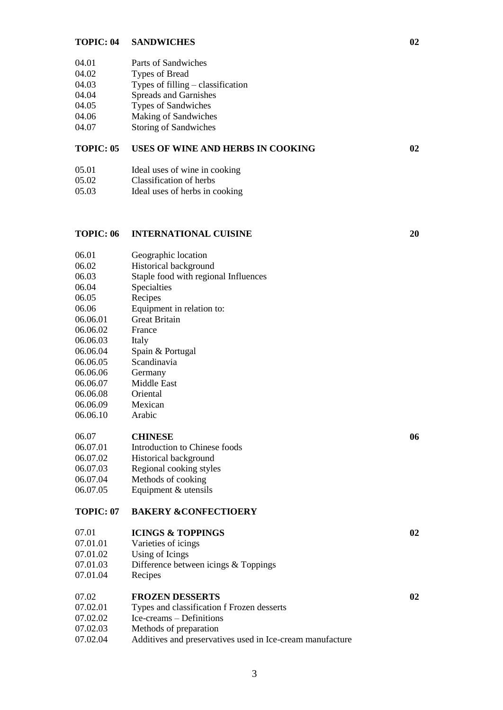#### **TOPIC: 04 SANDWICHES 02**

- 04.01 Parts of Sandwiches
- 04.02 Types of Bread
- 04.03 Types of filling – classification
- 04.04 Spreads and Garnishes
- 04.05 Types of Sandwiches
- 04.06 Making of Sandwiches
- 04.07 Storing of Sandwiches

#### **TOPIC: 05 USES OF WINE AND HERBS IN COOKING 02**

- 05.01 Ideal uses of wine in cooking
- 05.02 Classification of herbs
- 05.03 Ideal uses of herbs in cooking

#### **TOPIC: 06 INTERNATIONAL CUISINE**

06.01 Geographic location

- 06.02 Historical background
- 06.03 Staple food with regional Influences
- 06.04 Specialties
- 06.05 Recipes
- 06.06 Equipment in relation to:
- 06.06.01 Great Britain
- 06.06.02 France
- 06.06.03 Italy
- 06.06.04 Spain & Portugal
- 06.06.05 Scandinavia
- 06.06.06 Germany
- 06.06.07 Middle East
- 06.06.08 **Oriental**
- 06.06.09 Mexican
- 06.06.10 Arabic

#### 06.07 **CHINESE**

- 06.07.01 Introduction to Chinese foods
- 06.07.02 Historical background
- 06.07.03 Regional cooking styles
- 06.07.04 Methods of cooking
- 06.07.05 Equipment & utensils

#### **TOPIC: 07 BAKERY &CONFECTIOERY**

#### 07.01 **ICINGS & TOPPINGS**

- 07.01.01 Varieties of icings
- 07.01.02 Using of Icings
- 07.01.03 Difference between icings & Toppings
- 07.01.04 Recipes

#### 07.02 **FROZEN DESSERTS**

- 07.02.01 Types and classification f Frozen desserts
- 07.02.02 Ice-creams – Definitions
- 07.02.03 Methods of preparation
- 07.02.04 Additives and preservatives used in Ice-cream manufacture

**20**

**06**

**02**

**02**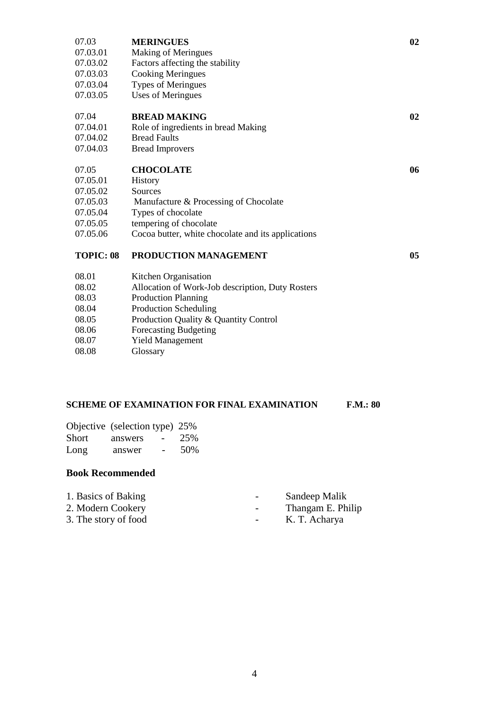| 07.03            | <b>MERINGUES</b>                                   | 02 |
|------------------|----------------------------------------------------|----|
| 07.03.01         | <b>Making of Meringues</b>                         |    |
| 07.03.02         | Factors affecting the stability                    |    |
| 07.03.03         | <b>Cooking Meringues</b>                           |    |
| 07.03.04         | <b>Types of Meringues</b>                          |    |
| 07.03.05         | <b>Uses of Meringues</b>                           |    |
|                  |                                                    |    |
| 07.04            | <b>BREAD MAKING</b>                                | 02 |
| 07.04.01         | Role of ingredients in bread Making                |    |
| 07.04.02         | <b>Bread Faults</b>                                |    |
| 07.04.03         | <b>Bread Improvers</b>                             |    |
|                  |                                                    |    |
| 07.05            | <b>CHOCOLATE</b>                                   | 06 |
| 07.05.01         | History                                            |    |
| 07.05.02         | Sources                                            |    |
| 07.05.03         | Manufacture & Processing of Chocolate              |    |
| 07.05.04         | Types of chocolate                                 |    |
| 07.05.05         | tempering of chocolate                             |    |
| 07.05.06         | Cocoa butter, white chocolate and its applications |    |
| <b>TOPIC: 08</b> | PRODUCTION MANAGEMENT                              | 05 |
|                  |                                                    |    |
| 08.01            | Kitchen Organisation                               |    |
| 08.02            | Allocation of Work-Job description, Duty Rosters   |    |
| 08.03            | <b>Production Planning</b>                         |    |
| 08.04            | <b>Production Scheduling</b>                       |    |
| 08.05            | Production Quality & Quantity Control              |    |
| 08.06            | Forecasting Budgeting                              |    |
| 08.07            | <b>Yield Management</b>                            |    |
|                  |                                                    |    |

08.08 Glossary

# **SCHEME OF EXAMINATION FOR FINAL EXAMINATION F.M.: 80**

|       | Objective (selection type) 25%      |     |
|-------|-------------------------------------|-----|
| Short | answers<br>$\overline{\phantom{0}}$ | 25% |
| Long  | answer<br>$\overline{\phantom{0}}$  | 50% |

| 1. Basics of Baking  | $\overline{\phantom{a}}$ | Sandeep Malik     |
|----------------------|--------------------------|-------------------|
| 2. Modern Cookery    | $\overline{\phantom{a}}$ | Thangam E. Philip |
| 3. The story of food |                          | K. T. Acharya     |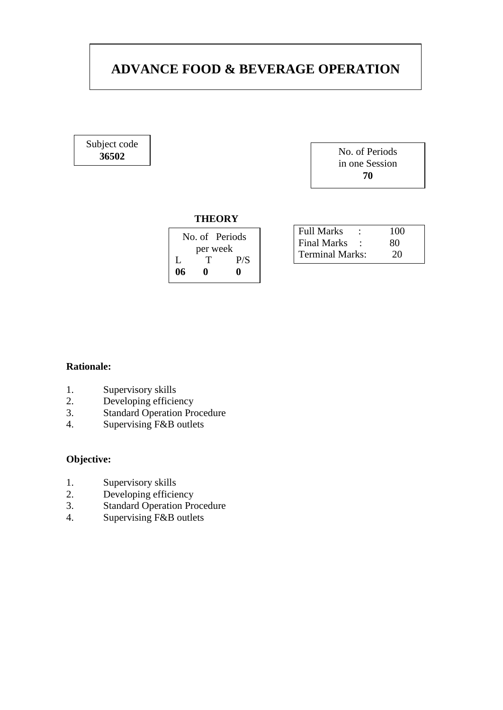# **ADVANCE FOOD & BEVERAGE OPERATION**

Subject code

**<sup>36502</sup>** No. of Periods in one Session **70**

#### **THEORY**

|          | No. of Periods |     |  |
|----------|----------------|-----|--|
| per week |                |     |  |
| L        | T              | P/S |  |
| 06       | o              | o   |  |

| <b>Full Marks</b>      | 100 |
|------------------------|-----|
| <b>Final Marks</b>     | 80  |
| <b>Terminal Marks:</b> | 20  |

# **Rationale:**

- 1. Supervisory skills
- 2. Developing efficiency<br>3. Standard Operation Pro
- Standard Operation Procedure
- 4. Supervising F&B outlets

## **Objective:**

- 1. Supervisory skills
- 2. Developing efficiency<br>3. Standard Operation Pro
- Standard Operation Procedure
- 4. Supervising F&B outlets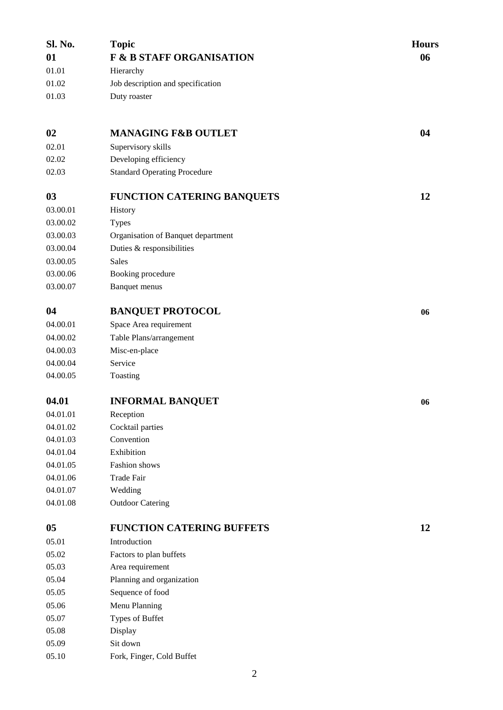| Sl. No.        | <b>Topic</b>                        | <b>Hours</b> |
|----------------|-------------------------------------|--------------|
| 01             | <b>F &amp; B STAFF ORGANISATION</b> | 06           |
| 01.01          | Hierarchy                           |              |
| 01.02          | Job description and specification   |              |
| 01.03          | Duty roaster                        |              |
|                |                                     |              |
| 02             | <b>MANAGING F&amp;B OUTLET</b>      | 04           |
| 02.01          | Supervisory skills                  |              |
| 02.02          | Developing efficiency               |              |
| 02.03          | <b>Standard Operating Procedure</b> |              |
| 03             | <b>FUNCTION CATERING BANQUETS</b>   | 12           |
| 03.00.01       | History                             |              |
| 03.00.02       | <b>Types</b>                        |              |
| 03.00.03       | Organisation of Banquet department  |              |
| 03.00.04       | Duties & responsibilities           |              |
| 03.00.05       | <b>Sales</b>                        |              |
| 03.00.06       | Booking procedure                   |              |
| 03.00.07       | <b>Banquet menus</b>                |              |
| 04             | <b>BANQUET PROTOCOL</b>             | 06           |
| 04.00.01       | Space Area requirement              |              |
| 04.00.02       | Table Plans/arrangement             |              |
| 04.00.03       | Misc-en-place                       |              |
| 04.00.04       | Service                             |              |
| 04.00.05       | Toasting                            |              |
| 04.01          | <b>INFORMAL BANQUET</b>             | 06           |
| 04.01.01       | Reception                           |              |
| 04.01.02       | Cocktail parties                    |              |
| 04.01.03       | Convention                          |              |
| 04.01.04       | Exhibition                          |              |
| 04.01.05       | Fashion shows                       |              |
| 04.01.06       | <b>Trade Fair</b>                   |              |
| 04.01.07       | Wedding                             |              |
| 04.01.08       | <b>Outdoor Catering</b>             |              |
| 0 <sub>5</sub> | <b>FUNCTION CATERING BUFFETS</b>    | 12           |
| 05.01          | Introduction                        |              |
| 05.02          | Factors to plan buffets             |              |
| 05.03          | Area requirement                    |              |
| 05.04          | Planning and organization           |              |
| 05.05          | Sequence of food                    |              |
| 05.06          | Menu Planning                       |              |
| 05.07          | Types of Buffet                     |              |
| 05.08          | Display                             |              |
| 05.09          | Sit down                            |              |
| 05.10          | Fork, Finger, Cold Buffet           |              |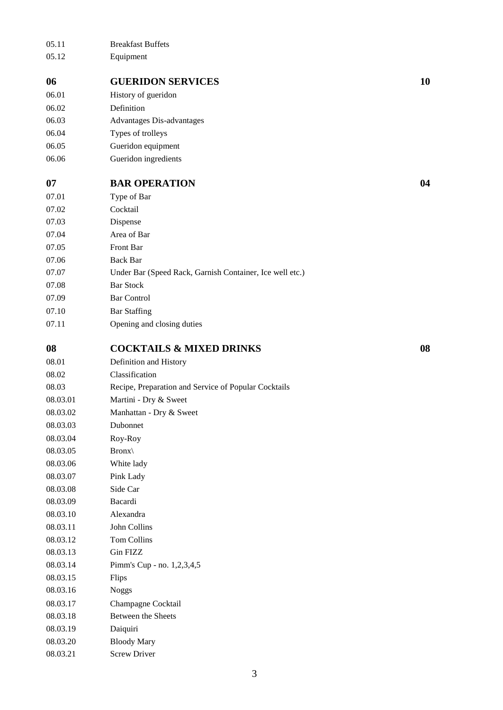| 05.11    | <b>Breakfast Buffets</b>                                 |    |
|----------|----------------------------------------------------------|----|
| 05.12    | Equipment                                                |    |
| 06       | <b>GUERIDON SERVICES</b>                                 | 10 |
| 06.01    | History of gueridon                                      |    |
| 06.02    | Definition                                               |    |
| 06.03    | Advantages Dis-advantages                                |    |
| 06.04    | Types of trolleys                                        |    |
| 06.05    | Gueridon equipment                                       |    |
| 06.06    | Gueridon ingredients                                     |    |
| 07       | <b>BAR OPERATION</b>                                     | 04 |
| 07.01    | Type of Bar                                              |    |
| 07.02    | Cocktail                                                 |    |
| 07.03    | Dispense                                                 |    |
| 07.04    | Area of Bar                                              |    |
| 07.05    | Front Bar                                                |    |
| 07.06    | <b>Back Bar</b>                                          |    |
| 07.07    | Under Bar (Speed Rack, Garnish Container, Ice well etc.) |    |
| 07.08    | <b>Bar Stock</b>                                         |    |
| 07.09    | <b>Bar Control</b>                                       |    |
| 07.10    | <b>Bar Staffing</b>                                      |    |
| 07.11    | Opening and closing duties                               |    |
|          |                                                          |    |
| 08       | <b>COCKTAILS &amp; MIXED DRINKS</b>                      | 08 |
| 08.01    | Definition and History                                   |    |
| 08.02    | Classification                                           |    |
| 08.03    | Recipe, Preparation and Service of Popular Cocktails     |    |
| 08.03.01 | Martini - Dry & Sweet                                    |    |
| 08.03.02 | Manhattan - Dry & Sweet                                  |    |
| 08.03.03 | Dubonnet                                                 |    |
| 08.03.04 | Roy-Roy                                                  |    |
| 08.03.05 | $Bronx\$                                                 |    |
| 08.03.06 | White lady                                               |    |
| 08.03.07 | Pink Lady                                                |    |
| 08.03.08 | Side Car                                                 |    |
| 08.03.09 | Bacardi                                                  |    |
| 08.03.10 | Alexandra                                                |    |
| 08.03.11 | John Collins                                             |    |
| 08.03.12 | Tom Collins                                              |    |
| 08.03.13 | Gin FIZZ                                                 |    |
| 08.03.14 | Pimm's Cup - no. 1,2,3,4,5                               |    |
| 08.03.15 | Flips                                                    |    |
| 08.03.16 | <b>Noggs</b>                                             |    |
| 08.03.17 | Champagne Cocktail                                       |    |
| 08.03.18 | Between the Sheets                                       |    |
| 08.03.19 | Daiquiri                                                 |    |
| 08.03.20 | <b>Bloody Mary</b>                                       |    |
| 08.03.21 | <b>Screw Driver</b>                                      |    |
|          |                                                          |    |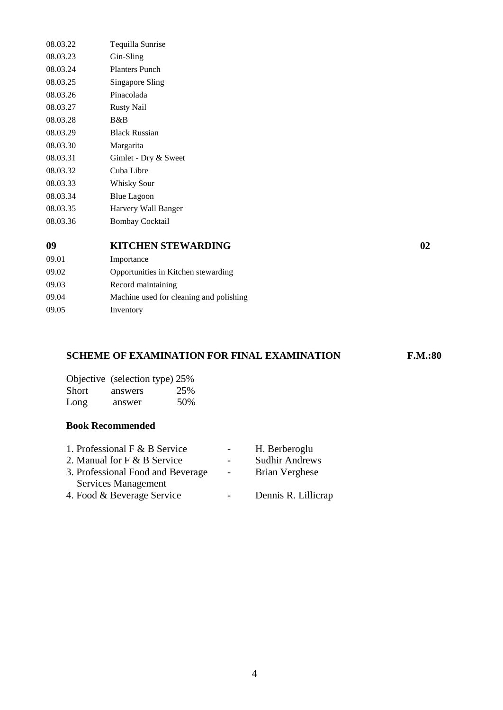| 08.03.22 | Tequilla Sunrise      |
|----------|-----------------------|
| 08.03.23 | Gin-Sling             |
| 08.03.24 | <b>Planters Punch</b> |
| 08.03.25 | Singapore Sling       |
| 08.03.26 | Pinacolada            |
| 08.03.27 | <b>Rusty Nail</b>     |
| 08.03.28 | R&R                   |
| 08.03.29 | <b>Black Russian</b>  |
| 08.03.30 | Margarita             |
| 08.03.31 | Gimlet - Dry & Sweet  |
| 08.03.32 | Cuba Libre            |
| 08.03.33 | Whisky Sour           |
| 08.03.34 | <b>Blue Lagoon</b>    |
| 08.03.35 | Harvery Wall Banger   |
| 08.03.36 | Bombay Cocktail       |
|          |                       |

# **09 KITCHEN STEWARDING 02**

09.02 Opportunities in Kitchen stewarding

09.04 Machine used for cleaning and polishing

#### **SCHEME OF EXAMINATION FOR FINAL EXAMINATION F.M.:80**

|       | Objective (selection type) 25% |     |
|-------|--------------------------------|-----|
| Short | answers                        | 25% |
| Long  | answer                         | 50% |

#### **Book Recommended**

09.01 Importance

09.05 Inventory

09.03 Record maintaining

| 1. Professional $F & B$ Service   |                          | H. Berberoglu         |
|-----------------------------------|--------------------------|-----------------------|
| 2. Manual for F & B Service       | $\overline{\phantom{0}}$ | <b>Sudhir Andrews</b> |
| 3. Professional Food and Beverage | <b>Contract</b>          | <b>Brian Verghese</b> |
| Services Management               |                          |                       |
| 4. Food & Beverage Service        |                          | Dennis R. Lillicrap   |
|                                   |                          |                       |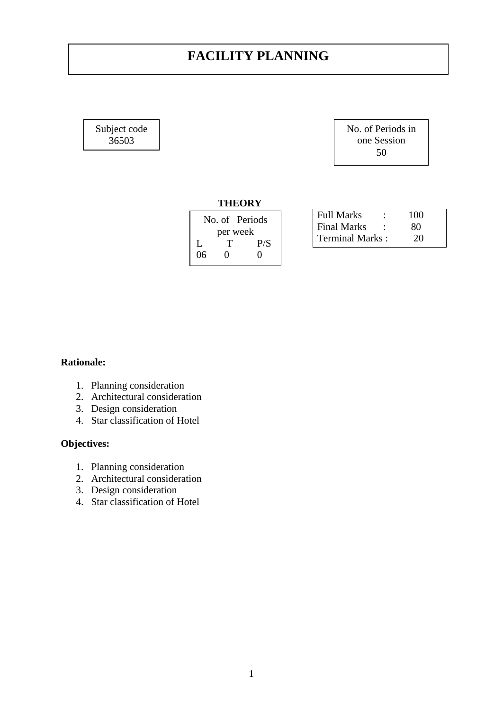# **FACILITY PLANNING**

Subject code 36503

No. of Periods in one Session 50

### **THEORY**

|    | No. of Periods    |                   |  |
|----|-------------------|-------------------|--|
|    |                   | per week          |  |
| L  | T                 | P/S               |  |
| 06 | $\mathbf{\Omega}$ | $\mathbf{\Omega}$ |  |

| <b>Full Marks</b>      | ٠ | 100 |  |
|------------------------|---|-----|--|
| <b>Final Marks</b>     |   | 80  |  |
| <b>Terminal Marks:</b> |   | 20  |  |

## **Rationale:**

- 1. Planning consideration
- 2. Architectural consideration
- 3. Design consideration
- 4. Star classification of Hotel

## **Objectives:**

- 1. Planning consideration
- 2. Architectural consideration
- 3. Design consideration
- 4. Star classification of Hotel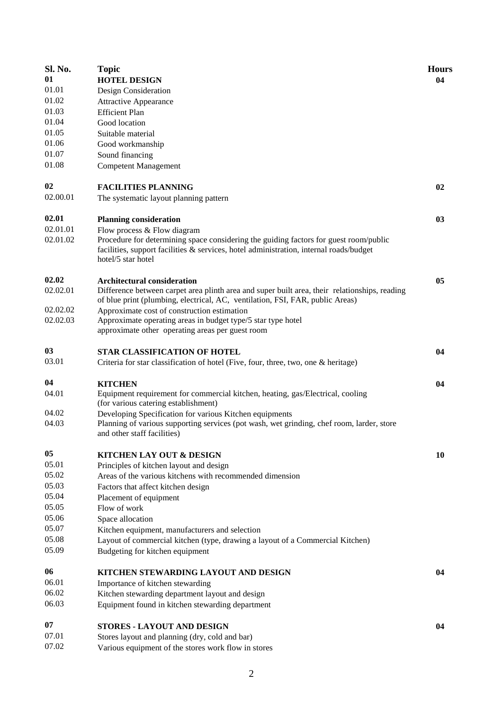| Sl. No.  | <b>Topic</b>                                                                                  | <b>Hours</b> |
|----------|-----------------------------------------------------------------------------------------------|--------------|
| 01       | <b>HOTEL DESIGN</b>                                                                           | 04           |
| 01.01    | Design Consideration                                                                          |              |
| 01.02    | <b>Attractive Appearance</b>                                                                  |              |
| 01.03    | <b>Efficient Plan</b>                                                                         |              |
| 01.04    | Good location                                                                                 |              |
| 01.05    | Suitable material                                                                             |              |
| 01.06    | Good workmanship                                                                              |              |
| 01.07    | Sound financing                                                                               |              |
| 01.08    | <b>Competent Management</b>                                                                   |              |
| 02       | <b>FACILITIES PLANNING</b>                                                                    | 02           |
| 02.00.01 | The systematic layout planning pattern                                                        |              |
| 02.01    | <b>Planning consideration</b>                                                                 | 03           |
| 02.01.01 | Flow process & Flow diagram                                                                   |              |
| 02.01.02 | Procedure for determining space considering the guiding factors for guest room/public         |              |
|          | facilities, support facilities & services, hotel administration, internal roads/budget        |              |
|          | hotel/5 star hotel                                                                            |              |
| 02.02    | <b>Architectural consideration</b>                                                            | 05           |
| 02.02.01 | Difference between carpet area plinth area and super built area, their relationships, reading |              |
|          | of blue print (plumbing, electrical, AC, ventilation, FSI, FAR, public Areas)                 |              |
| 02.02.02 | Approximate cost of construction estimation                                                   |              |
| 02.02.03 | Approximate operating areas in budget type/5 star type hotel                                  |              |
|          | approximate other operating areas per guest room                                              |              |
| 03       | <b>STAR CLASSIFICATION OF HOTEL</b>                                                           | 04           |
| 03.01    | Criteria for star classification of hotel (Five, four, three, two, one & heritage)            |              |
| 04       | <b>KITCHEN</b>                                                                                | 04           |
| 04.01    | Equipment requirement for commercial kitchen, heating, gas/Electrical, cooling                |              |
|          | (for various catering establishment)                                                          |              |
| 04.02    | Developing Specification for various Kitchen equipments                                       |              |
| 04.03    | Planning of various supporting services (pot wash, wet grinding, chef room, larder, store     |              |
|          | and other staff facilities)                                                                   |              |
| 05       | KITCHEN LAY OUT & DESIGN                                                                      | 10           |
| 05.01    | Principles of kitchen layout and design                                                       |              |
| 05.02    | Areas of the various kitchens with recommended dimension                                      |              |
| 05.03    | Factors that affect kitchen design                                                            |              |
| 05.04    | Placement of equipment                                                                        |              |
| 05.05    | Flow of work                                                                                  |              |
| 05.06    | Space allocation                                                                              |              |
| 05.07    | Kitchen equipment, manufacturers and selection                                                |              |
| 05.08    | Layout of commercial kitchen (type, drawing a layout of a Commercial Kitchen)                 |              |
| 05.09    | Budgeting for kitchen equipment                                                               |              |
| 06       | KITCHEN STEWARDING LAYOUT AND DESIGN                                                          | 04           |
| 06.01    | Importance of kitchen stewarding                                                              |              |
| 06.02    | Kitchen stewarding department layout and design                                               |              |
| 06.03    | Equipment found in kitchen stewarding department                                              |              |
|          |                                                                                               |              |
| 07       | STORES - LAYOUT AND DESIGN                                                                    | 04           |
| 07.01    | Stores layout and planning (dry, cold and bar)                                                |              |
| 07.02    | Various equipment of the stores work flow in stores                                           |              |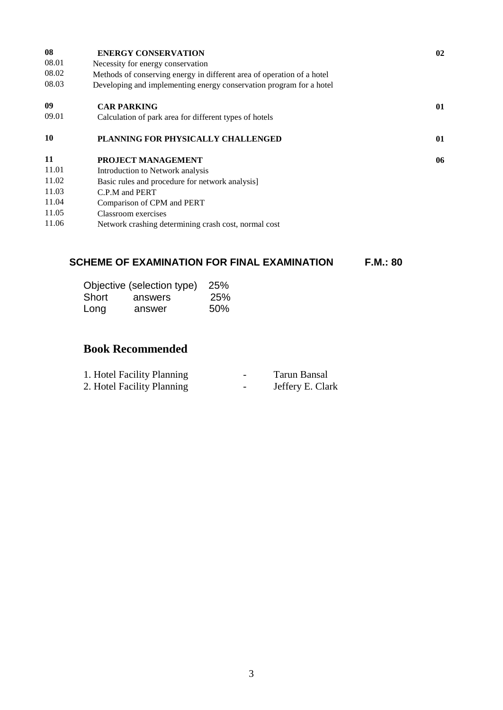| 08        | <b>ENERGY CONSERVATION</b>                                             | 02 |
|-----------|------------------------------------------------------------------------|----|
| 08.01     | Necessity for energy conservation                                      |    |
| 08.02     | Methods of conserving energy in different area of operation of a hotel |    |
| 08.03     | Developing and implementing energy conservation program for a hotel    |    |
| 09        | <b>CAR PARKING</b>                                                     | 01 |
| 09.01     | Calculation of park area for different types of hotels                 |    |
| <b>10</b> | PLANNING FOR PHYSICALLY CHALLENGED                                     | 01 |
| 11        | <b>PROJECT MANAGEMENT</b>                                              | 06 |
| 11.01     | Introduction to Network analysis                                       |    |
| 11.02     | Basic rules and procedure for network analysis]                        |    |
| 11.03     | C.P.M and PERT                                                         |    |
| 11.04     | Comparison of CPM and PERT                                             |    |
| 11.05     | Classroom exercises                                                    |    |
| 11.06     | Network crashing determining crash cost, normal cost                   |    |
|           |                                                                        |    |

# **SCHEME OF EXAMINATION FOR FINAL EXAMINATION F.M.: 80**

|       | Objective (selection type) | 25%        |
|-------|----------------------------|------------|
| Short | answers                    | <b>25%</b> |
| Long  | answer                     | 50%        |

# **Book Recommended**

| 1. Hotel Facility Planning     | Tarun Bansal           |
|--------------------------------|------------------------|
| $2\pi$ Uotal Facility Dlanning | Loffory $\Gamma$ Clork |

2. Hotel Facility Planning **Facility Planning** Facility Planning **Facility** Planning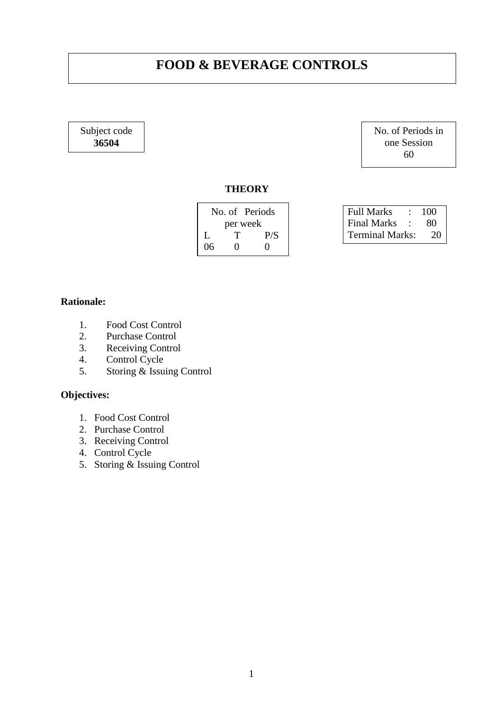# **FOOD & BEVERAGE CONTROLS**

Subject code **36504**

No. of Periods in one Session 60

> $80$  $20$

#### **THEORY**

| No. of Periods |          | Full Marks : 100 |                 |      |
|----------------|----------|------------------|-----------------|------|
|                | per week |                  | Final Marks :   | - 80 |
|                |          | P/S              | Terminal Marks: | 2(   |
| 06             |          |                  |                 |      |
|                |          |                  |                 |      |

## **Rationale:**

- 1. Food Cost Control<br>2. Purchase Control
- Purchase Control
- 3. Receiving Control
- 4. Control Cycle
- 5. Storing & Issuing Control

## **Objectives:**

- 1. Food Cost Control
- 2. Purchase Control
- 3. Receiving Control
- 4. Control Cycle
- 5. Storing & Issuing Control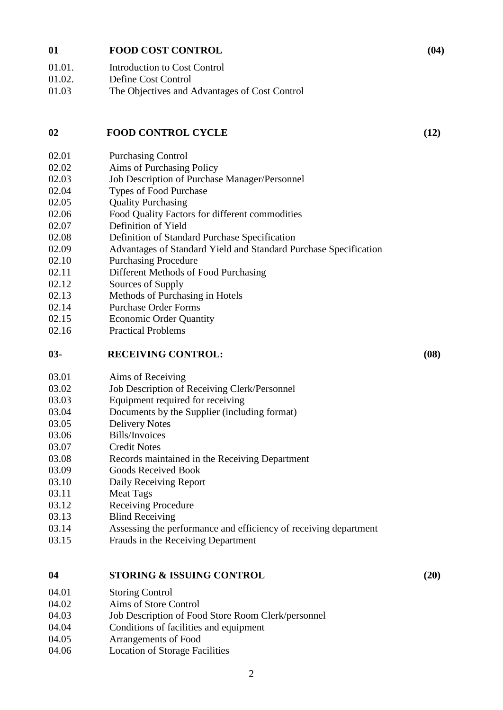#### **01 FOOD COST CONTROL (04)**

| 01.01.        | Introduction to Cost Control |  |
|---------------|------------------------------|--|
| <b>_∩1_∩^</b> | Dofine                       |  |

01.02. Define Cost Control

01.03 The Objectives and Advantages of Cost Control

### **02 FOOD CONTROL CYCLE (12)**

- 02.01 Purchasing Control
- 02.02 Aims of Purchasing Policy
- 02.03 Job Description of Purchase Manager/Personnel
- 02.04 Types of Food Purchase
- 02.05 Quality Purchasing
- 02.06 Food Quality Factors for different commodities
- 02.07 Definition of Yield
- 02.08 Definition of Standard Purchase Specification
- 02.09 Advantages of Standard Yield and Standard Purchase Specification
- 02.10 Purchasing Procedure
- 02.11 Different Methods of Food Purchasing
- 02.12 Sources of Supply
- 02.13 Methods of Purchasing in Hotels
- 02.14 Purchase Order Forms
- 02.15 Economic Order Quantity
- 02.16 Practical Problems

### **03- RECEIVING CONTROL: (08)**

- 03.01 Aims of Receiving
- 03.02 Job Description of Receiving Clerk/Personnel
- 03.03 Equipment required for receiving
- 03.04 Documents by the Supplier (including format)
- 03.05 Delivery Notes
- 03.06 Bills/Invoices
- 03.07 Credit Notes
- 03.08 Records maintained in the Receiving Department
- 03.09 Goods Received Book
- 03.10 Daily Receiving Report
- 03.11 Meat Tags
- 03.12 Receiving Procedure
- 03.13 Blind Receiving
- 03.14 Assessing the performance and efficiency of receiving department
- 03.15 Frauds in the Receiving Department

## **04 STORING & ISSUING CONTROL (20)**

- 04.01 Storing Control
- 04.02 Aims of Store Control
- 04.03 Job Description of Food Store Room Clerk/personnel
- 04.04 Conditions of facilities and equipment
- 04.05 Arrangements of Food
- 04.06 Location of Storage Facilities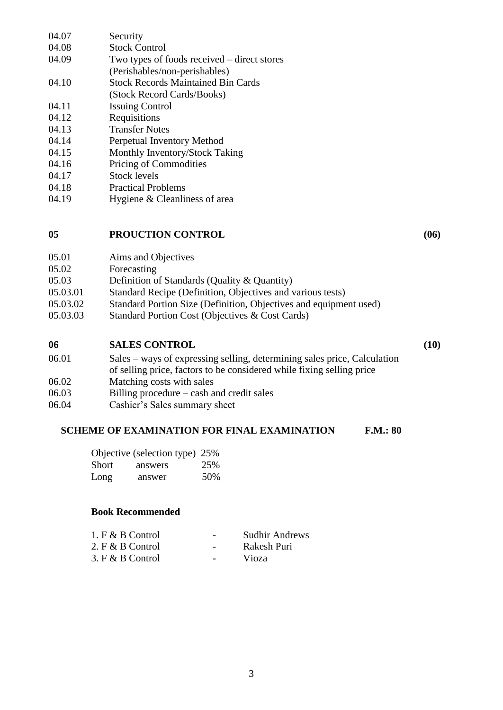| 04.07 | Security                                    |
|-------|---------------------------------------------|
| 04.08 | <b>Stock Control</b>                        |
| 04.09 | Two types of foods received – direct stores |
|       | (Perishables/non-perishables)               |
| 04.10 | <b>Stock Records Maintained Bin Cards</b>   |
|       | (Stock Record Cards/Books)                  |
| 04.11 | <b>Issuing Control</b>                      |
| 04.12 | Requisitions                                |
| 04.13 | <b>Transfer Notes</b>                       |
| 04.14 | Perpetual Inventory Method                  |
| 04.15 | Monthly Inventory/Stock Taking              |
| 04.16 | <b>Pricing of Commodities</b>               |
| 04.17 | <b>Stock levels</b>                         |
| 04.18 | <b>Practical Problems</b>                   |
| 04.19 | Hygiene & Cleanliness of area               |

#### **05 PROUCTION CONTROL (06)**

| 05.01    | Aims and Objectives                                        |
|----------|------------------------------------------------------------|
| 05.02    | Forecasting                                                |
| 05.03    | Definition of Standards (Quality & Quantity)               |
| 05.03.01 | Standard Recipe (Definition, Objectives and various tests) |
|          |                                                            |

- 05.03.02 Standard Portion Size (Definition, Objectives and equipment used)
- 05.03.03 Standard Portion Cost (Objectives & Cost Cards)

#### **06 SALES CONTROL (10)**

| 06.01 | Sales – ways of expressing selling, determining sales price, Calculation |
|-------|--------------------------------------------------------------------------|
|       | of selling price, factors to be considered while fixing selling price    |
| 06.02 | Matching costs with sales                                                |
| 06.03 | Billing procedure – cash and credit sales                                |

06.04 Cashier's Sales summary sheet

# **SCHEME OF EXAMINATION FOR FINAL EXAMINATION F.M.: 80**

|       | Objective (selection type) 25% |     |
|-------|--------------------------------|-----|
| Short | answers                        | 25% |
| Long  | answer                         | 50% |

#### **Book Recommended**

| 1. $F & B$ Control | $\overline{\phantom{0}}$ | <b>Sudhir Andrews</b> |
|--------------------|--------------------------|-----------------------|
| 2. $F & B$ Control | $\overline{\phantom{0}}$ | Rakesh Puri           |
|                    |                          |                       |

3. F & B Control - Vioza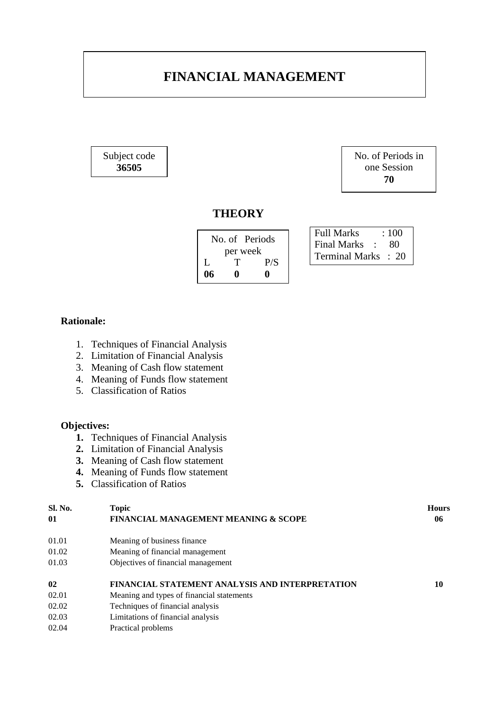# **FINANCIAL MANAGEMENT**

Subject code **36505**

No. of Periods in one Session **70**

# **THEORY**

| No. of Periods |   |     |
|----------------|---|-----|
| per week       |   |     |
| L              | Τ | P/S |
| 06             | o | o   |

Full Marks : 100 Final Marks : 80 Terminal Marks : 20

## **Rationale:**

- 1. Techniques of Financial Analysis
- 2. Limitation of Financial Analysis
- 3. Meaning of Cash flow statement
- 4. Meaning of Funds flow statement
- 5. Classification of Ratios

#### **Objectives:**

- **1.** Techniques of Financial Analysis
- **2.** Limitation of Financial Analysis
- **3.** Meaning of Cash flow statement
- **4.** Meaning of Funds flow statement
- **5.** Classification of Ratios

| Sl. No.      | <b>Topic</b>                                           | <b>Hours</b> |
|--------------|--------------------------------------------------------|--------------|
| $\mathbf{0}$ | <b>FINANCIAL MANAGEMENT MEANING &amp; SCOPE</b>        | 06           |
| 01.01        | Meaning of business finance                            |              |
| 01.02        | Meaning of financial management                        |              |
| 01.03        | Objectives of financial management                     |              |
| 02           | <b>FINANCIAL STATEMENT ANALYSIS AND INTERPRETATION</b> | 10           |
| 02.01        | Meaning and types of financial statements              |              |
| 02.02        | Techniques of financial analysis                       |              |
| 02.03        | Limitations of financial analysis                      |              |
| 02.04        | Practical problems                                     |              |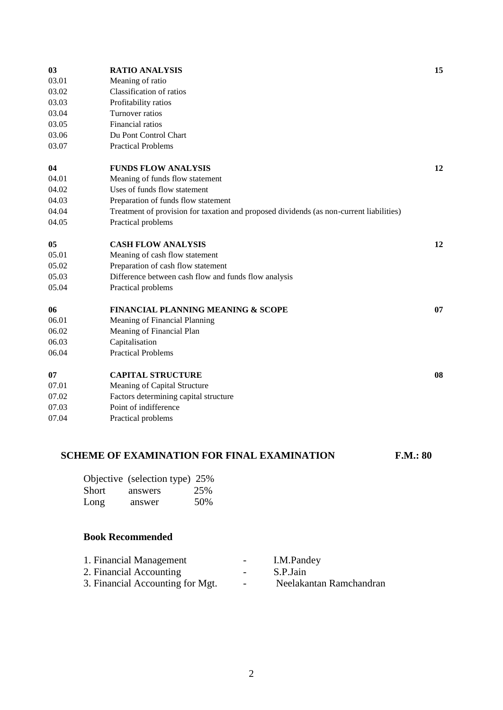| 03    | <b>RATIO ANALYSIS</b>                                                                   | 15 |
|-------|-----------------------------------------------------------------------------------------|----|
| 03.01 | Meaning of ratio                                                                        |    |
| 03.02 | Classification of ratios                                                                |    |
| 03.03 | Profitability ratios                                                                    |    |
| 03.04 | Turnover ratios                                                                         |    |
| 03.05 | Financial ratios                                                                        |    |
| 03.06 | Du Pont Control Chart                                                                   |    |
| 03.07 | <b>Practical Problems</b>                                                               |    |
| 04    | <b>FUNDS FLOW ANALYSIS</b>                                                              | 12 |
| 04.01 | Meaning of funds flow statement                                                         |    |
| 04.02 | Uses of funds flow statement                                                            |    |
| 04.03 | Preparation of funds flow statement                                                     |    |
| 04.04 | Treatment of provision for taxation and proposed dividends (as non-current liabilities) |    |
| 04.05 | Practical problems                                                                      |    |
| 05    | <b>CASH FLOW ANALYSIS</b>                                                               | 12 |
| 05.01 | Meaning of cash flow statement                                                          |    |
| 05.02 | Preparation of cash flow statement                                                      |    |
| 05.03 | Difference between cash flow and funds flow analysis                                    |    |
| 05.04 | Practical problems                                                                      |    |
| 06    | <b>FINANCIAL PLANNING MEANING &amp; SCOPE</b>                                           | 07 |
| 06.01 | Meaning of Financial Planning                                                           |    |
| 06.02 | Meaning of Financial Plan                                                               |    |
| 06.03 | Capitalisation                                                                          |    |
| 06.04 | <b>Practical Problems</b>                                                               |    |
| 07    | <b>CAPITAL STRUCTURE</b>                                                                | 08 |
| 07.01 | Meaning of Capital Structure                                                            |    |
| 07.02 | Factors determining capital structure                                                   |    |
| 07.03 | Point of indifference                                                                   |    |
| 07.04 | Practical problems                                                                      |    |
|       |                                                                                         |    |

# **SCHEME OF EXAMINATION FOR FINAL EXAMINATION F.M.: 80**

|       | Objective (selection type) 25% |     |
|-------|--------------------------------|-----|
| Short | answers                        | 25% |
| Long  | answer                         | 50% |

| 1. Financial Management          | $\sim$                   | I.M.Pandey              |
|----------------------------------|--------------------------|-------------------------|
| 2. Financial Accounting          | $\sim$                   | S.P.Jain                |
| 3. Financial Accounting for Mgt. | $\overline{\phantom{0}}$ | Neelakantan Ramchandran |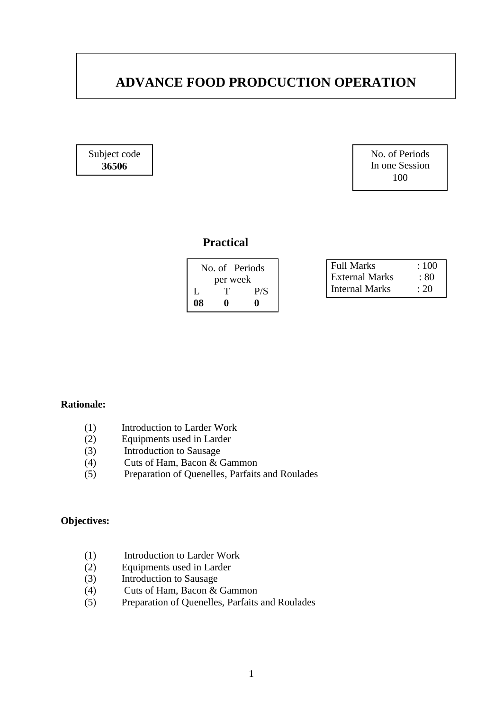# **ADVANCE FOOD PRODCUCTION OPERATION**

Subject code **36506**

No. of Periods In one Session 100

# **Practical**

| No. of Periods |   |     |
|----------------|---|-----|
| per week       |   |     |
| L              | T | P/S |
| 08             | o | o   |

| <b>Full Marks</b> | :100 |
|-------------------|------|
| External Marks    | : 80 |
| Internal Marks    | : 20 |

## **Rationale:**

- (1) Introduction to Larder Work
- (2) Equipments used in Larder
- (3) Introduction to Sausage
- (4) Cuts of Ham, Bacon & Gammon
- (5) Preparation of Quenelles, Parfaits and Roulades

### **Objectives:**

- (1) Introduction to Larder Work
- (2) Equipments used in Larder
- (3) Introduction to Sausage
- (4) Cuts of Ham, Bacon & Gammon
- (5) Preparation of Quenelles, Parfaits and Roulades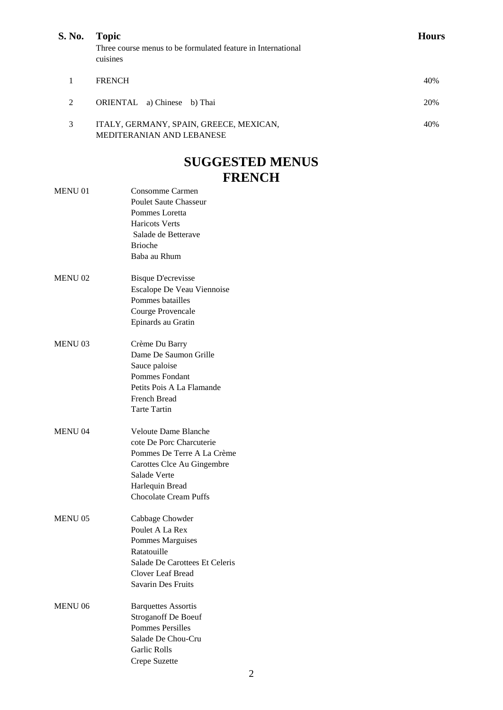| S. No. | <b>Topic</b>                                                             | Hours |
|--------|--------------------------------------------------------------------------|-------|
|        | Three course menus to be formulated feature in International<br>cuisines |       |
|        | <b>FRENCH</b>                                                            | 40%   |
| 2      | ORIENTAL a) Chinese b) Thai                                              | 20%   |
| 3      | ITALY, GERMANY, SPAIN, GREECE, MEXICAN,<br>MEDITERANIAN AND LEBANESE     | 40%   |

# **SUGGESTED MENUS FRENCH**

|                | FRENCH                         |
|----------------|--------------------------------|
| <b>MENU 01</b> | Consomme Carmen                |
|                | <b>Poulet Saute Chasseur</b>   |
|                | Pommes Loretta                 |
|                | <b>Haricots Verts</b>          |
|                | Salade de Betterave            |
|                | <b>Brioche</b>                 |
|                | Baba au Rhum                   |
| <b>MENU02</b>  | <b>Bisque D'ecrevisse</b>      |
|                | Escalope De Veau Viennoise     |
|                | Pommes batailles               |
|                | Courge Provencale              |
|                | Epinards au Gratin             |
| <b>MENU 03</b> | Crème Du Barry                 |
|                | Dame De Saumon Grille          |
|                | Sauce paloise                  |
|                | <b>Pommes Fondant</b>          |
|                | Petits Pois A La Flamande      |
|                | <b>French Bread</b>            |
|                | <b>Tarte Tartin</b>            |
| <b>MENU 04</b> | <b>Veloute Dame Blanche</b>    |
|                | cote De Porc Charcuterie       |
|                | Pommes De Terre A La Crème     |
|                | Carottes Clce Au Gingembre     |
|                | Salade Verte                   |
|                | Harlequin Bread                |
|                | <b>Chocolate Cream Puffs</b>   |
| <b>MENU 05</b> | Cabbage Chowder                |
|                | Poulet A La Rex                |
|                | Pommes Marguises               |
|                | Ratatouille                    |
|                | Salade De Carottees Et Celeris |
|                | Clover Leaf Bread              |
|                | <b>Savarin Des Fruits</b>      |
| <b>MENU 06</b> | <b>Barquettes Assortis</b>     |
|                | <b>Stroganoff De Boeuf</b>     |
|                | <b>Pommes Persilles</b>        |
|                | Salade De Chou-Cru             |
|                | Garlic Rolls                   |
|                | Crepe Suzette                  |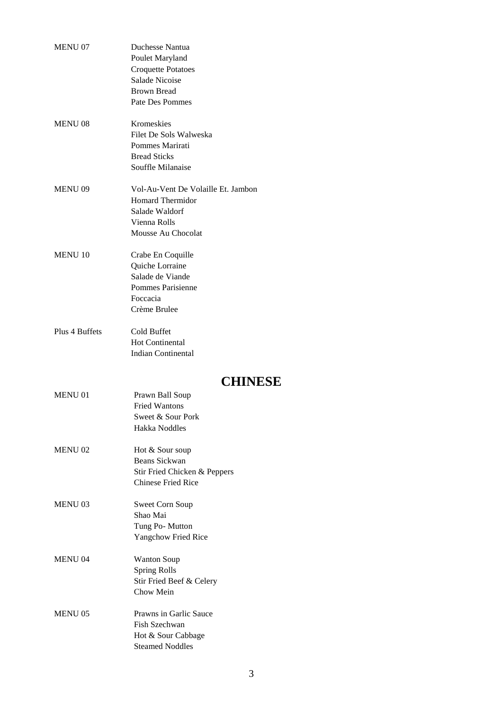| <b>MENU 07</b> | Duchesse Nantua                              |
|----------------|----------------------------------------------|
|                | Poulet Maryland                              |
|                | <b>Croquette Potatoes</b>                    |
|                | Salade Nicoise                               |
|                | <b>Brown Bread</b>                           |
|                | Pate Des Pommes                              |
|                |                                              |
| <b>MENU 08</b> | Kromeskies                                   |
|                | Filet De Sols Walweska                       |
|                | Pommes Marirati                              |
|                | <b>Bread Sticks</b>                          |
|                | Souffle Milanaise                            |
|                |                                              |
| <b>MENU 09</b> | Vol-Au-Vent De Volaille Et. Jambon           |
|                | <b>Homard Thermidor</b>                      |
|                | Salade Waldorf                               |
|                | Vienna Rolls                                 |
|                | Mousse Au Chocolat                           |
| <b>MENU</b> 10 | Crabe En Coquille                            |
|                | Quiche Lorraine                              |
|                | Salade de Viande                             |
|                | Pommes Parisienne                            |
|                | Foccacia                                     |
|                | Crème Brulee                                 |
|                |                                              |
| Plus 4 Buffets | Cold Buffet                                  |
|                | <b>Hot Continental</b>                       |
|                | <b>Indian Continental</b>                    |
|                |                                              |
|                |                                              |
|                | <b>CHINESE</b>                               |
| <b>MENU 01</b> |                                              |
|                | Prawn Ball Soup<br><b>Fried Wantons</b>      |
|                |                                              |
|                | Sweet & Sour Pork                            |
|                | Hakka Noddles                                |
| <b>MENU 02</b> | Hot & Sour soup                              |
|                | Beans Sickwan                                |
|                | Stir Fried Chicken & Peppers                 |
|                | <b>Chinese Fried Rice</b>                    |
|                |                                              |
| <b>MENU 03</b> | Sweet Corn Soup                              |
|                | Shao Mai                                     |
|                | Tung Po-Mutton                               |
|                | Yangchow Fried Rice                          |
| <b>MENU 04</b> |                                              |
|                | <b>Wanton Soup</b>                           |
|                | <b>Spring Rolls</b>                          |
|                | Stir Fried Beef & Celery<br>Chow Mein        |
|                |                                              |
| <b>MENU 05</b> | Prawns in Garlic Sauce                       |
|                | Fish Szechwan                                |
|                | Hot & Sour Cabbage<br><b>Steamed Noddles</b> |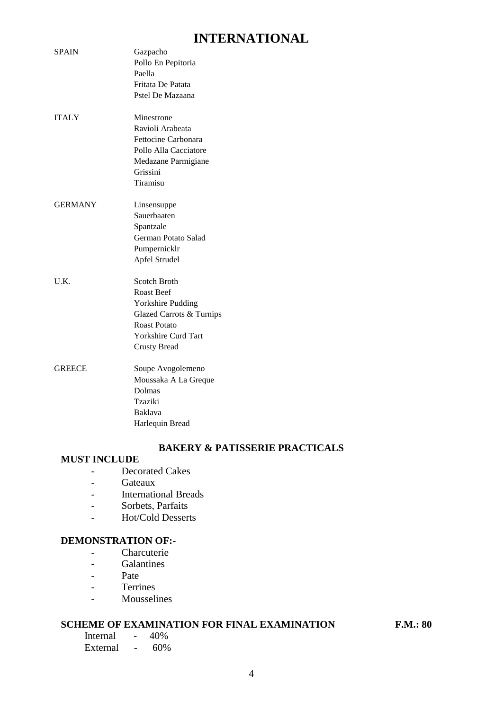# **INTERNATIONAL**

| <b>SPAIN</b>   | Gazpacho<br>Pollo En Pepitoria<br>Paella<br>Fritata De Patata<br>Pstel De Mazaana                                                                       |
|----------------|---------------------------------------------------------------------------------------------------------------------------------------------------------|
| <b>ITALY</b>   | Minestrone<br>Ravioli Arabeata<br>Fettocine Carbonara<br>Pollo Alla Cacciatore<br>Medazane Parmigiane<br>Grissini<br>Tiramisu                           |
| <b>GERMANY</b> | Linsensuppe<br>Sauerbaaten<br>Spantzale<br>German Potato Salad<br>Pumpernicklr<br>Apfel Strudel                                                         |
| U.K.           | Scotch Broth<br><b>Roast Beef</b><br>Yorkshire Pudding<br>Glazed Carrots & Turnips<br><b>Roast Potato</b><br>Yorkshire Curd Tart<br><b>Crusty Bread</b> |
| <b>GREECE</b>  | Soupe Avogolemeno<br>Moussaka A La Greque<br>Dolmas<br>Tzaziki<br><b>Baklava</b><br>Harlequin Bread                                                     |

## **BAKERY & PATISSERIE PRACTICALS**

# **MUST INCLUDE**

- Decorated Cakes
- Gateaux
- International Breads
- Sorbets, Parfaits
- Hot/Cold Desserts

#### **DEMONSTRATION OF:-**

- Charcuterie
- **-** Galantines
- Pate
- Terrines
- Mousselines

## **SCHEME OF EXAMINATION FOR FINAL EXAMINATION F.M.: 80**

Internal - 40% External - 60%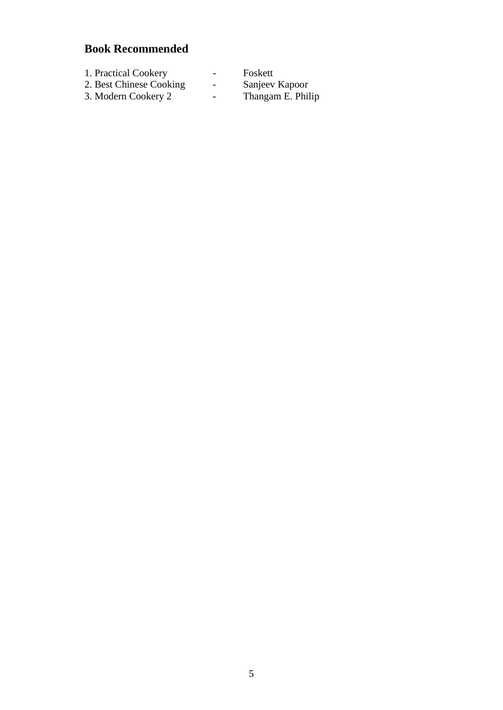| 1. Practical Cookery    | $\overline{\phantom{0}}$ | Foskett           |
|-------------------------|--------------------------|-------------------|
| 2. Best Chinese Cooking | -                        | Sanjeev Kapoor    |
| 3. Modern Cookery 2     | $\overline{\phantom{a}}$ | Thangam E. Philip |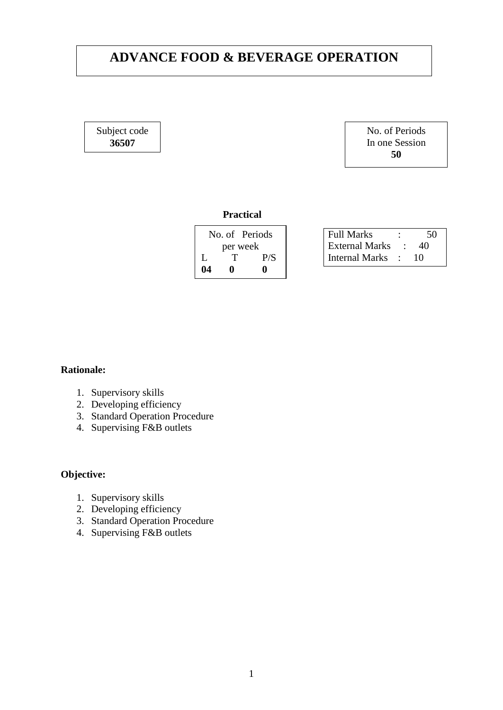# **ADVANCE FOOD & BEVERAGE OPERATION**

Subject code **36507**

No. of Periods In one Session **50**

#### **Practical**

|          | No. of Periods |     |
|----------|----------------|-----|
| per week |                |     |
| L        | T              | P/S |
| 04       | o              | o   |

| <b>Full Marks</b>     | ٠                | 50 |
|-----------------------|------------------|----|
| <b>External Marks</b> |                  | 40 |
| Internal Marks        | $\sim$ 100 $\pm$ | 10 |

#### **Rationale:**

- 1. Supervisory skills
- 2. Developing efficiency
- 3. Standard Operation Procedure
- 4. Supervising F&B outlets

## **Objective:**

- 1. Supervisory skills
- 2. Developing efficiency
- 3. Standard Operation Procedure
- 4. Supervising F&B outlets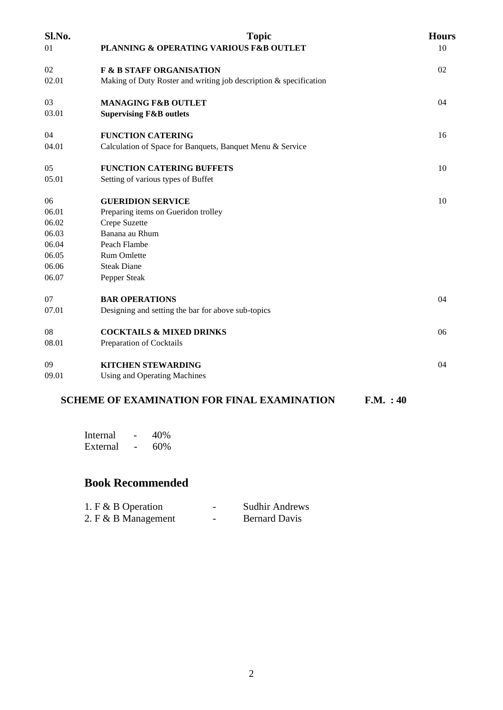| Sl.No. | <b>Topic</b>                                                      | <b>Hours</b> |
|--------|-------------------------------------------------------------------|--------------|
| 01     | PLANNING & OPERATING VARIOUS F&B OUTLET                           | 10           |
| 02     | <b>F &amp; B STAFF ORGANISATION</b>                               | 02           |
| 02.01  | Making of Duty Roster and writing job description & specification |              |
| 03     | <b>MANAGING F&amp;B OUTLET</b>                                    | 04           |
| 03.01  | <b>Supervising F&amp;B outlets</b>                                |              |
| 04     | <b>FUNCTION CATERING</b>                                          | 16           |
| 04.01  | Calculation of Space for Banquets, Banquet Menu & Service         |              |
| 05     | <b>FUNCTION CATERING BUFFETS</b>                                  | 10           |
| 05.01  | Setting of various types of Buffet                                |              |
| 06     | <b>GUERIDION SERVICE</b>                                          | 10           |
| 06.01  | Preparing items on Gueridon trolley                               |              |
| 06.02  | Crepe Suzette                                                     |              |
| 06.03  | Banana au Rhum                                                    |              |
| 06.04  | Peach Flambe                                                      |              |
| 06.05  | Rum Omlette                                                       |              |
| 06.06  | <b>Steak Diane</b>                                                |              |
| 06.07  | Pepper Steak                                                      |              |
| 07     | <b>BAR OPERATIONS</b>                                             | 04           |
| 07.01  | Designing and setting the bar for above sub-topics                |              |
| 08     | <b>COCKTAILS &amp; MIXED DRINKS</b>                               | 06           |
| 08.01  | Preparation of Cocktails                                          |              |
| 09     | <b>KITCHEN STEWARDING</b>                                         | 04           |
| 09.01  | <b>Using and Operating Machines</b>                               |              |
|        | <b>SCHEME OF EXAMINATION FOR FINAL EXAMINATION</b><br>F.M. : 40   |              |

| Internal | 40% |
|----------|-----|
| External | 60% |

| 1. F & B Operation    | - | <b>Sudhir Andrews</b> |
|-----------------------|---|-----------------------|
| 2. $F & B$ Management | - | <b>Bernard Davis</b>  |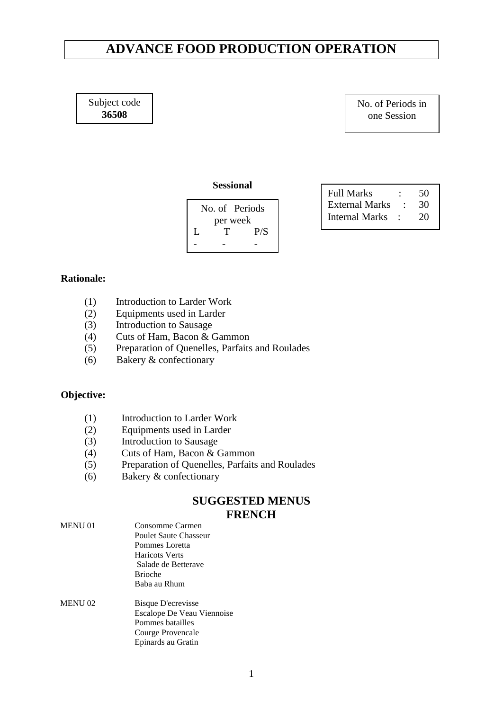# **ADVANCE FOOD PRODUCTION OPERATION**

Subject code **36508**

No. of Periods in one Session

#### **Sessional**

| No of Periods |     |  |
|---------------|-----|--|
| per week      |     |  |
| T             | P/S |  |
|               |     |  |
|               |     |  |

| <b>Full Marks</b>     | 50 |
|-----------------------|----|
| <b>External Marks</b> | 30 |
| Internal Marks        | 20 |

#### **Rationale:**

- (1) Introduction to Larder Work
- (2) Equipments used in Larder
- (3) Introduction to Sausage
- (4) Cuts of Ham, Bacon & Gammon
- (5) Preparation of Quenelles, Parfaits and Roulades
- (6) Bakery & confectionary

### **Objective:**

- (1) Introduction to Larder Work
- (2) Equipments used in Larder
- (3) Introduction to Sausage
- (4) Cuts of Ham, Bacon & Gammon
- (5) Preparation of Quenelles, Parfaits and Roulades
- (6) Bakery & confectionary

# **SUGGESTED MENUS FRENCH**

| <b>MENU 01</b> | Consomme Carmen<br>Poulet Saute Chasseur |  |  |
|----------------|------------------------------------------|--|--|
|                |                                          |  |  |
|                | Pommes Loretta                           |  |  |
|                | Haricots Verts                           |  |  |
|                | Salade de Betterave                      |  |  |
|                | <b>Brioche</b>                           |  |  |
|                | Baba au Rhum                             |  |  |
| <b>MENU 02</b> | Bisque D'ecrevisse                       |  |  |
|                | Escalope De Veau Viennoise               |  |  |
|                | Pommes batailles                         |  |  |
|                | Courge Provencale                        |  |  |
|                | Epinards au Gratin                       |  |  |
|                |                                          |  |  |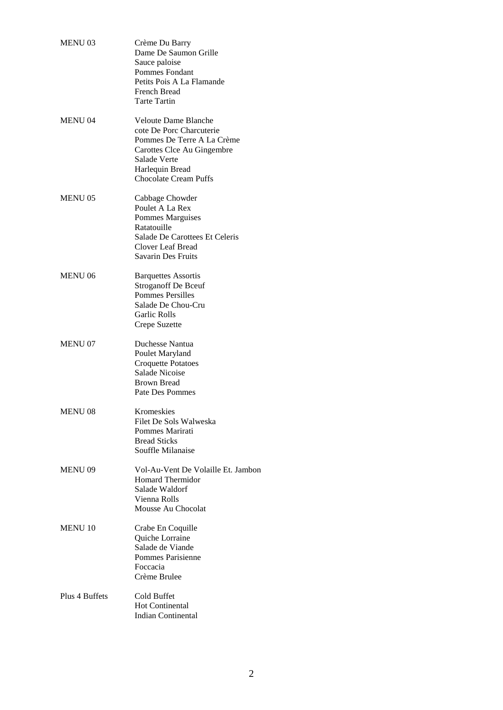| <b>MENU03</b>  | Crème Du Barry<br>Dame De Saumon Grille<br>Sauce paloise<br><b>Pommes Fondant</b><br>Petits Pois A La Flamande<br><b>French Bread</b><br><b>Tarte Tartin</b>                           |
|----------------|----------------------------------------------------------------------------------------------------------------------------------------------------------------------------------------|
| <b>MENU 04</b> | <b>Veloute Dame Blanche</b><br>cote De Porc Charcuterie<br>Pommes De Terre A La Crème<br>Carottes Clce Au Gingembre<br>Salade Verte<br>Harlequin Bread<br><b>Chocolate Cream Puffs</b> |
| <b>MENU 05</b> | Cabbage Chowder<br>Poulet A La Rex<br>Pommes Marguises<br>Ratatouille<br>Salade De Carottees Et Celeris<br>Clover Leaf Bread<br><b>Savarin Des Fruits</b>                              |
| <b>MENU 06</b> | <b>Barquettes Assortis</b><br><b>Stroganoff De Bceuf</b><br><b>Pommes Persilles</b><br>Salade De Chou-Cru<br><b>Garlic Rolls</b><br>Crepe Suzette                                      |
| <b>MENU 07</b> | Duchesse Nantua<br>Poulet Maryland<br><b>Croquette Potatoes</b><br><b>Salade Nicoise</b><br>Brown Bread<br>Pate Des Pommes                                                             |
| MENU 08        | Kromeskies<br>Filet De Sols Walweska<br>Pommes Marirati<br><b>Bread Sticks</b><br>Souffle Milanaise                                                                                    |
| <b>MENU 09</b> | Vol-Au-Vent De Volaille Et. Jambon<br><b>Homard Thermidor</b><br>Salade Waldorf<br>Vienna Rolls<br>Mousse Au Chocolat                                                                  |
| <b>MENU 10</b> | Crabe En Coquille<br>Quiche Lorraine<br>Salade de Viande<br>Pommes Parisienne<br>Foccacia<br>Crème Brulee                                                                              |
| Plus 4 Buffets | Cold Buffet<br><b>Hot Continental</b><br><b>Indian Continental</b>                                                                                                                     |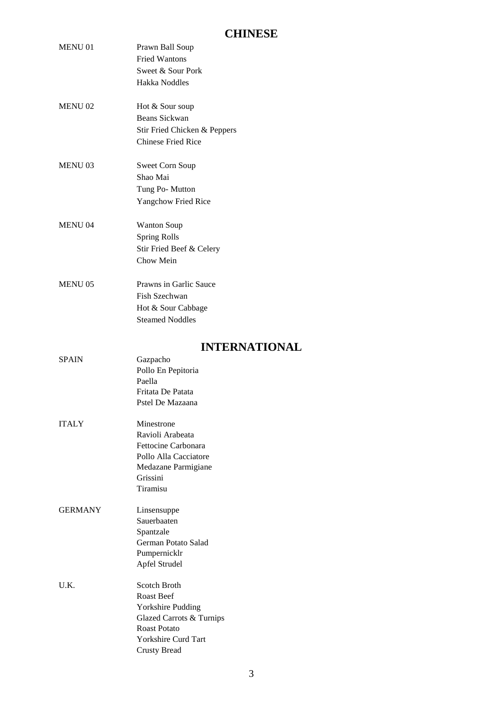# **CHINESE**

|                | CHINESE                                 |
|----------------|-----------------------------------------|
| <b>MENU 01</b> | Prawn Ball Soup<br><b>Fried Wantons</b> |
|                | Sweet & Sour Pork                       |
|                | Hakka Noddles                           |
| <b>MENU 02</b> | Hot & Sour soup                         |
|                | Beans Sickwan                           |
|                | Stir Fried Chicken & Peppers            |
|                | <b>Chinese Fried Rice</b>               |
|                |                                         |
| <b>MENU 03</b> | Sweet Corn Soup                         |
|                | Shao Mai                                |
|                | Tung Po-Mutton                          |
|                | <b>Yangchow Fried Rice</b>              |
| <b>MENU 04</b> | <b>Wanton Soup</b>                      |
|                | Spring Rolls                            |
|                | Stir Fried Beef & Celery                |
|                | Chow Mein                               |
|                |                                         |
| <b>MENU 05</b> | Prawns in Garlic Sauce                  |
|                | Fish Szechwan                           |
|                | Hot & Sour Cabbage                      |
|                | <b>Steamed Noddles</b>                  |
|                | <b>INTERNATIONAL</b>                    |
| <b>SPAIN</b>   | Gazpacho                                |
|                | Pollo En Pepitoria                      |
|                | Paella                                  |
|                | Fritata De Patata                       |
|                | Pstel De Mazaana                        |
| <b>ITALY</b>   | Minestrone                              |
|                | Ravioli Arabeata                        |
|                | Fettocine Carbonara                     |
|                |                                         |
|                | Pollo Alla Cacciatore                   |
|                | Medazane Parmigiane                     |
|                | Grissini                                |
|                | Tiramisu                                |
| <b>GERMANY</b> | Linsensuppe                             |
|                | Sauerbaaten                             |
|                | Spantzale                               |
|                | German Potato Salad                     |
|                | Pumpernicklr                            |
|                | Apfel Strudel                           |

U.K. Scotch Broth Roast Beef Yorkshire Pudding Glazed Carrots & Turnips Roast Potato Yorkshire Curd Tart Crusty Bread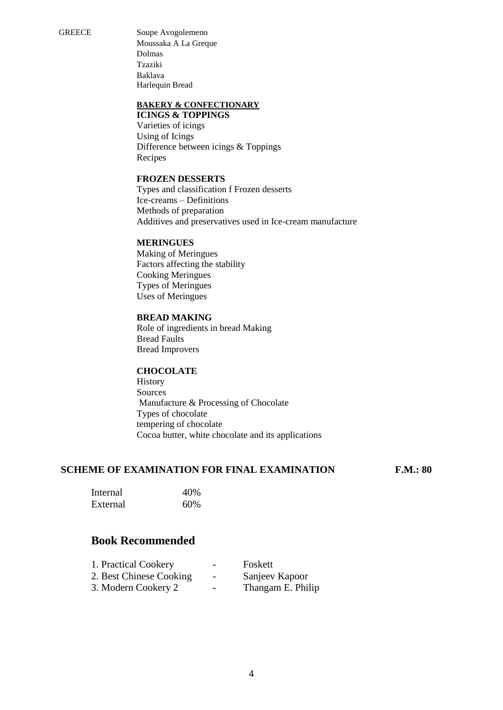GREECE Soupe Avogolemeno Moussaka A La Greque Dolmas Tzaziki Baklava Harlequin Bread

#### **BAKERY & CONFECTIONARY**

**ICINGS & TOPPINGS** Varieties of icings Using of Icings Difference between icings & Toppings Recipes

#### **FROZEN DESSERTS**

Types and classification f Frozen desserts Ice-creams – Definitions Methods of preparation Additives and preservatives used in Ice-cream manufacture

#### **MERINGUES**

Making of Meringues Factors affecting the stability Cooking Meringues Types of Meringues Uses of Meringues

#### **BREAD MAKING**

Role of ingredients in bread Making Bread Faults Bread Improvers

#### **CHOCOLATE**

History Sources Manufacture & Processing of Chocolate Types of chocolate tempering of chocolate Cocoa butter, white chocolate and its applications

#### **SCHEME OF EXAMINATION FOR FINAL EXAMINATION F.M.: 80**

| Internal | 40% |
|----------|-----|
| External | 60% |

| 1. Practical Cookery    | $\overline{\phantom{0}}$ | Foskett           |
|-------------------------|--------------------------|-------------------|
| 2. Best Chinese Cooking | $\overline{\phantom{a}}$ | Sanjeev Kapoor    |
| 3. Modern Cookery 2     | $\overline{\phantom{0}}$ | Thangam E. Philip |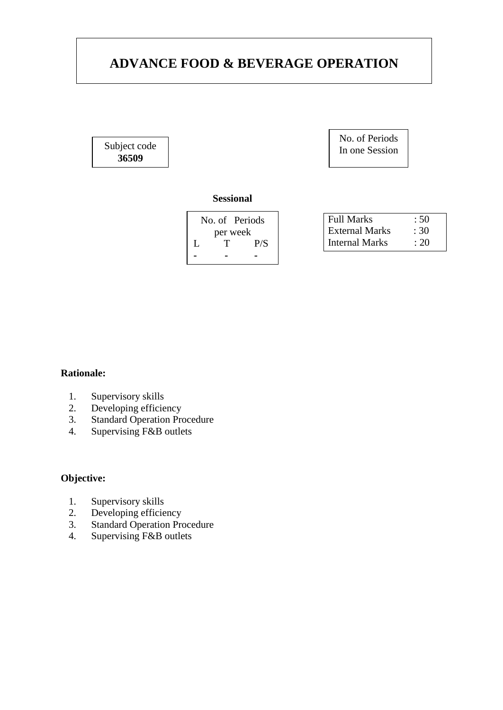# **ADVANCE FOOD & BEVERAGE OPERATION**

Subject code **36509**

No. of Periods In one Session

## **Sessional**

| No. of Periods |     |  |
|----------------|-----|--|
| per week       |     |  |
| T              | P/S |  |
|                |     |  |
|                |     |  |

| <b>Full Marks</b>     | :50  |
|-----------------------|------|
| <b>External Marks</b> | :30  |
| <b>Internal Marks</b> | : 20 |

### **Rationale:**

- 1. Supervisory skills
- 2. Developing efficiency
- 3. Standard Operation Procedure
- 4. Supervising F&B outlets

## **Objective:**

- 1. Supervisory skills
- 2. Developing efficiency
- 3. Standard Operation Procedure
- 4. Supervising F&B outlets